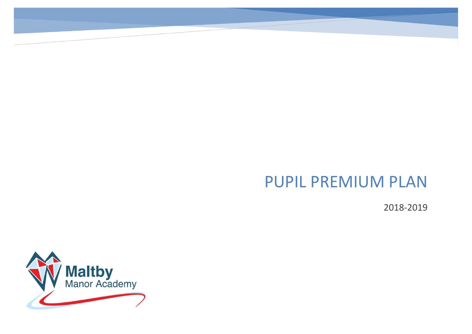## PUPIL PREMIUM PLAN

2018-2019

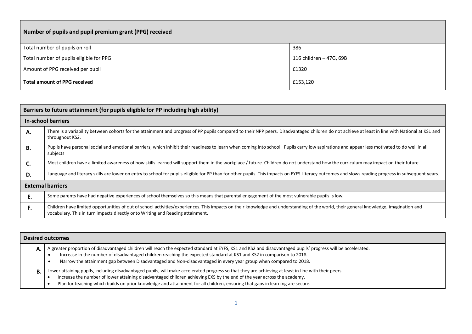| Number of pupils and pupil premium grant (PPG) received |                         |  |  |  |
|---------------------------------------------------------|-------------------------|--|--|--|
| Total number of pupils on roll                          | 386                     |  |  |  |
| Total number of pupils eligible for PPG                 | 116 children – 47G, 69B |  |  |  |
| Amount of PPG received per pupil                        | £1320                   |  |  |  |
| <b>Total amount of PPG received</b>                     | £153,120                |  |  |  |

|    | Barriers to future attainment (for pupils eligible for PP including high ability)                                                                                                                                                                                       |
|----|-------------------------------------------------------------------------------------------------------------------------------------------------------------------------------------------------------------------------------------------------------------------------|
|    | In-school barriers                                                                                                                                                                                                                                                      |
| А. | There is a variability between cohorts for the attainment and progress of PP pupils compared to their NPP peers. Disadvantaged children do not achieve at least in line with National at KS1 and<br>throughout KS2.                                                     |
| В. | Pupils have personal social and emotional barriers, which inhibit their readiness to learn when coming into school. Pupils carry low aspirations and appear less motivated to do well in all<br>subjects                                                                |
| C. | Most children have a limited awareness of how skills learned will support them in the workplace / future. Children do not understand how the curriculum may impact on their future.                                                                                     |
| D. | Language and literacy skills are lower on entry to school for pupils eligible for PP than for other pupils. This impacts on EYFS Literacy outcomes and slows reading progress in subsequent years.                                                                      |
|    | <b>External barriers</b>                                                                                                                                                                                                                                                |
| Е. | Some parents have had negative experiences of school themselves so this means that parental engagement of the most vulnerable pupils is low.                                                                                                                            |
| F. | Children have limited opportunities of out of school activities/experiences. This impacts on their knowledge and understanding of the world, their general knowledge, imagination and<br>vocabulary. This in turn impacts directly onto Writing and Reading attainment. |

| <b>Desired outcomes</b>                                                                                                                                                                                                                                                                                                                                                                                         |
|-----------------------------------------------------------------------------------------------------------------------------------------------------------------------------------------------------------------------------------------------------------------------------------------------------------------------------------------------------------------------------------------------------------------|
| A greater proportion of disadvantaged children will reach the expected standard at EYFS, KS1 and KS2 and disadvantaged pupils' progress will be accelerated.<br>Increase in the number of disadvantaged children reaching the expected standard at KS1 and KS2 in comparison to 2018.<br>Narrow the attainment gap between Disadvantaged and Non-disadvantaged in every year group when compared to 2018.       |
| Lower attaining pupils, including disadvantaged pupils, will make accelerated progress so that they are achieving at least in line with their peers.<br>Increase the number of lower attaining disadvantaged children achieving EXS by the end of the year across the academy.<br>Plan for teaching which builds on prior knowledge and attainment for all children, ensuring that gaps in learning are secure. |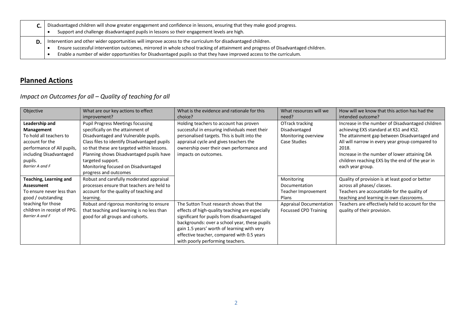| Disadvantaged children will show greater engagement and confidence in lessons, ensuring that they make good progress.<br>Support and challenge disadvantaged pupils in lessons so their engagement levels are high.                                                                                                                                                      |
|--------------------------------------------------------------------------------------------------------------------------------------------------------------------------------------------------------------------------------------------------------------------------------------------------------------------------------------------------------------------------|
| Intervention and other wider opportunities will improve access to the curriculum for disadvantaged children.<br>Ensure successful intervention outcomes, mirrored in whole school tracking of attainment and progress of Disadvantaged children.<br>Enable a number of wider opportunities for Disadvantaged pupils so that they have improved access to the curriculum. |

## **Planned Actions**

*Impact on Outcomes for all – Quality of teaching for all*

| Objective                   | What are our key actions to effect           | What is the evidence and rationale for this     | What resources will we         | How will we know that this action has had the    |
|-----------------------------|----------------------------------------------|-------------------------------------------------|--------------------------------|--------------------------------------------------|
|                             | improvement?                                 | choice?                                         | need?                          | intended outcome?                                |
| Leadership and              | Pupil Progress Meetings focussing            | Holding teachers to account has proven          | OTrack tracking                | Increase in the number of Disadvantaged children |
| Management                  | specifically on the attainment of            | successful in ensuring individuals meet their   | Disadvantaged                  | achieving EXS standard at KS1 and KS2.           |
| To hold all teachers to     | Disadvantaged and Vulnerable pupils.         | personalised targets. This is built into the    | Monitoring overview            | The attainment gap between Disadvantaged and     |
| account for the             | Class files to identify Disadvantaged pupils | appraisal cycle and gives teachers the          | Case Studies                   | All will narrow in every year group compared to  |
| performance of All pupils,  | so that these are targeted within lessons.   | ownership over their own performance and        |                                | 2018.                                            |
| including Disadvantaged     | Planning shows Disadvantaged pupils have     | impacts on outcomes.                            |                                | Increase in the number of lower attaining DA     |
| pupils.                     | targeted support.                            |                                                 |                                | children reaching EXS by the end of the year in  |
| Barrier A and F             | Monitoring focused on Disadvantaged          |                                                 |                                | each year group.                                 |
|                             | progress and outcomes                        |                                                 |                                |                                                  |
| Teaching, Learning and      | Robust and carefully moderated appraisal     |                                                 | Monitoring                     | Quality of provision is at least good or better  |
| Assessment                  | processes ensure that teachers are held to   |                                                 | Documentation                  | across all phases/ classes.                      |
| To ensure never less than   | account for the quality of teaching and      |                                                 | Teacher Improvement            | Teachers are accountable for the quality of      |
| good / outstanding          | learning.                                    |                                                 | Plans                          | teaching and learning in own classrooms.         |
| teaching for those          | Robust and rigorous monitoring to ensure     | The Sutton Trust research shows that the        | <b>Appraisal Documentation</b> | Teachers are effectively held to account for the |
| children in receipt of PPG. | that teaching and learning is no less than   | effects of high-quality teaching are especially | Focussed CPD Training          | quality of their provision.                      |
| Barrier A and F             | good for all groups and cohorts.             | significant for pupils from disadvantaged       |                                |                                                  |
|                             |                                              | backgrounds: over a school year, these pupils   |                                |                                                  |
|                             |                                              | gain 1.5 years' worth of learning with very     |                                |                                                  |
|                             |                                              | effective teacher, compared with 0.5 years      |                                |                                                  |
|                             |                                              | with poorly performing teachers.                |                                |                                                  |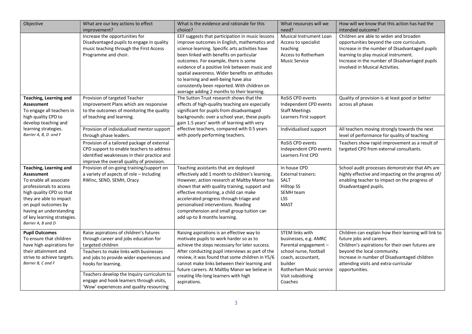| Objective                                                                                                                                                                                                                                                        | What are our key actions to effect<br>improvement?                                                                                                                                                                                                                                                                                                        | What is the evidence and rationale for this<br>choice?                                                                                                                                                                                                                                                                                                                                                                                                                          | What resources will we<br>need?                                                                                                                                                                | How will we know that this action has had the<br>intended outcome?                                                                                                                                                                                                             |
|------------------------------------------------------------------------------------------------------------------------------------------------------------------------------------------------------------------------------------------------------------------|-----------------------------------------------------------------------------------------------------------------------------------------------------------------------------------------------------------------------------------------------------------------------------------------------------------------------------------------------------------|---------------------------------------------------------------------------------------------------------------------------------------------------------------------------------------------------------------------------------------------------------------------------------------------------------------------------------------------------------------------------------------------------------------------------------------------------------------------------------|------------------------------------------------------------------------------------------------------------------------------------------------------------------------------------------------|--------------------------------------------------------------------------------------------------------------------------------------------------------------------------------------------------------------------------------------------------------------------------------|
|                                                                                                                                                                                                                                                                  | Increase the opportunities for<br>Disadvantaged pupils to engage in quality<br>music teaching through the First Access<br>Programme and choir.                                                                                                                                                                                                            | EEF suggests that participation in music lessons<br>improve outcomes in English, mathematics and<br>science learning. Specific arts activities have<br>been linked with benefits on particular<br>outcomes. For example, there is some<br>evidence of a positive link between music and<br>spatial awareness. Wider benefits on attitudes<br>to learning and well-being have also<br>consistently been reported. With children on<br>average adding 2 months to their learning. | Musical Instrument Loan<br>Access to specialist<br>teaching<br>Access to Rotherham<br><b>Music Service</b>                                                                                     | Children are able to widen and broaden<br>opportunities beyond the core curriculum.<br>Increase in the number of Disadvantaged pupils<br>learning to play musical instrument.<br>Increase in the number of Disadvantaged pupils<br>involved in Musical Activities.             |
| <b>Teaching, Learning and</b><br>Assessment<br>To engage all teachers in<br>high quality CPD to<br>develop teaching and                                                                                                                                          | Provision of targeted Teacher<br>Improvement Plans which are responsive<br>to the outcomes of monitoring the quality<br>of teaching and learning.                                                                                                                                                                                                         | The Sutton Trust research shows that the<br>effects of high-quality teaching are especially<br>significant for pupils from disadvantaged<br>backgrounds: over a school year, these pupils<br>gain 1.5 years' worth of learning with very                                                                                                                                                                                                                                        | RoSiS CPD events<br>Independent CPD events<br><b>Staff Meetings</b><br>Learners First support                                                                                                  | Quality of provision is at least good or better<br>across all phases                                                                                                                                                                                                           |
| learning strategies.<br>Barrier A, B, D and F                                                                                                                                                                                                                    | Provision of individualised mentor support<br>through phase leaders.                                                                                                                                                                                                                                                                                      | effective teachers, compared with 0.5 years<br>with poorly performing teachers.                                                                                                                                                                                                                                                                                                                                                                                                 | Individualised support                                                                                                                                                                         | All teachers moving strongly towards the next<br>level of performance for quality of teaching                                                                                                                                                                                  |
|                                                                                                                                                                                                                                                                  | Provision of a tailored package of external<br>CPD support to enable teachers to address<br>identified weaknesses in their practice and<br>improve the overall quality of provision.                                                                                                                                                                      |                                                                                                                                                                                                                                                                                                                                                                                                                                                                                 | <b>RoSiS CPD events</b><br>Independent CPD events<br><b>Learners First CPD</b>                                                                                                                 | Teachers show rapid improvement as a result of<br>targeted CPD from external consultants.                                                                                                                                                                                      |
| Teaching, Learning and<br><b>Assessment</b><br>To enable all associate<br>professionals to access<br>high quality CPD so that<br>they are able to impact<br>on pupil outcomes by<br>having an understanding<br>of key learning strategies.<br>Barrier A, B and D | Provision of on-going training/support on<br>a variety of aspects of role - Including<br>RWInc, SEND, SEMH, Oracy                                                                                                                                                                                                                                         | Teaching assistants that are deployed<br>effectively add 1 month to children's learning.<br>However, action research at Maltby Manor has<br>shown that with quality training, support and<br>effective monitoring, a child can make<br>accelerated progress through triage and<br>personalised interventions. Reading<br>comprehension and small group tuition can<br>add up-to 8 months learning.                                                                              | In house CPD<br><b>External trainers:</b><br>SALT<br>Hilltop SS<br>SEMH team<br>LSS<br><b>MAST</b>                                                                                             | School audit processes demonstrate that APs are<br>highly effective and impacting on the progress of/<br>enabling teacher to impact on the progress of<br>Disadvantaged pupils.                                                                                                |
| <b>Pupil Outcomes</b><br>To ensure that children<br>have high aspirations for<br>their attainment and<br>strive to achieve targets.<br>Barrier B, C and F                                                                                                        | Raise aspirations of children's futures<br>through career and jobs education for<br>targeted children<br>Teachers to make links with businesses<br>and jobs to provide wider experiences and<br>hooks for learning.<br>Teachers develop the Inquiry curriculum to<br>engage and hook learners through visits,<br>'Wow' experiences and quality resourcing | Raising aspirations is an effective way to<br>motivate pupils to work harder so as to<br>achieve the steps necessary for later success.<br>After conducting pupil interviews as part of the<br>review, it was found that some children in Y5/6<br>cannot make links between their learning and<br>future careers. At Maltby Manor we believe in<br>creating life-long learners with high<br>aspirations.                                                                        | <b>STEM links with</b><br>businesses, e.g. AMRC<br>Parental engagement -<br>school nurse, football<br>coach, accountant,<br>builder<br>Rotherham Music service<br>Visit subsidising<br>Coaches | Children can explain how their learning will link to<br>future jobs and careers.<br>Children's aspirations for their own futures are<br>beyond the local community.<br>Increase in number of Disadvantaged children<br>attending visits and extra-curricular<br>opportunities. |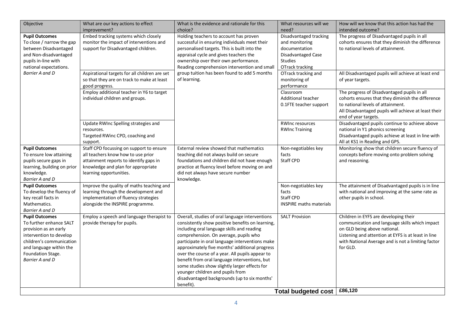| Objective                                                                                                                                                                                           | What are our key actions to effect<br>improvement?                                                                                                                                        | What is the evidence and rationale for this<br>choice?                                                                                                                                                                                                                                                                                                                                                                                                                                                                                                | What resources will we<br>need?                                                                                      | How will we know that this action has had the<br>intended outcome?                                                                                                                                                                               |
|-----------------------------------------------------------------------------------------------------------------------------------------------------------------------------------------------------|-------------------------------------------------------------------------------------------------------------------------------------------------------------------------------------------|-------------------------------------------------------------------------------------------------------------------------------------------------------------------------------------------------------------------------------------------------------------------------------------------------------------------------------------------------------------------------------------------------------------------------------------------------------------------------------------------------------------------------------------------------------|----------------------------------------------------------------------------------------------------------------------|--------------------------------------------------------------------------------------------------------------------------------------------------------------------------------------------------------------------------------------------------|
| <b>Pupil Outcomes</b><br>To close / narrow the gap<br>between Disadvantaged<br>and Non-disadvantaged<br>pupils in-line with<br>national expectations.                                               | Embed tracking systems which closely<br>monitor the impact of interventions and<br>support for Disadvantaged children.                                                                    | Holding teachers to account has proven<br>successful in ensuring individuals meet their<br>personalised targets. This is built into the<br>appraisal cycle and gives teachers the<br>ownership over their own performance.<br>Reading comprehension intervention and small<br>group tuition has been found to add 5 months<br>of learning.                                                                                                                                                                                                            | Disadvantaged tracking<br>and monitoring<br>documentation<br>Disadvantaged Case<br><b>Studies</b><br>OTrack tracking | The progress of Disadvantaged pupils in all<br>cohorts ensures that they diminish the difference<br>to national levels of attainment.                                                                                                            |
| Barrier A and D                                                                                                                                                                                     | Aspirational targets for all children are set<br>so that they are on track to make at least<br>good progress.                                                                             |                                                                                                                                                                                                                                                                                                                                                                                                                                                                                                                                                       | OTrack tracking and<br>monitoring of<br>performance                                                                  | All Disadvantaged pupils will achieve at least end<br>of year targets.                                                                                                                                                                           |
|                                                                                                                                                                                                     | Employ additional teacher in Y6 to target<br>individual children and groups.                                                                                                              |                                                                                                                                                                                                                                                                                                                                                                                                                                                                                                                                                       | Classroom<br>Additional teacher<br>0.1FTE teacher support                                                            | The progress of Disadvantaged pupils in all<br>cohorts ensures that they diminish the difference<br>to national levels of attainment.<br>All Disadvantaged pupils will achieve at least their<br>end of year targets.                            |
|                                                                                                                                                                                                     | Update RWInc Spelling strategies and<br>resources.<br>Targeted RWinc CPD, coaching and<br>support.                                                                                        |                                                                                                                                                                                                                                                                                                                                                                                                                                                                                                                                                       | <b>RWInc resources</b><br><b>RWInc Training</b>                                                                      | Disadvantaged pupils continue to achieve above<br>national in Y1 phonics screening<br>Disadvantaged pupils achieve at least in line with<br>All at KS1 in Reading and GPS.                                                                       |
| <b>Pupil Outcomes</b><br>To ensure low attaining<br>pupils secure gaps in<br>learning, building on prior<br>knowledge.<br>Barrier A and D                                                           | Staff CPD focussing on support to ensure<br>all teachers know how to use prior<br>attainment reports to identify gaps in<br>knowledge and plan for appropriate<br>learning opportunities. | External review showed that mathematics<br>teaching did not always build on secure<br>foundations and children did not have enough<br>practice at fluency level before moving on and<br>did not always have secure number<br>knowledge.                                                                                                                                                                                                                                                                                                               | Non-negotiables key<br>facts<br>Staff CPD                                                                            | Monitoring show that children secure fluency of<br>concepts before moving onto problem solving<br>and reasoning.                                                                                                                                 |
| <b>Pupil Outcomes</b><br>To develop the fluency of<br>key recall facts in<br>Mathematics.<br>Barrier A and D                                                                                        | Improve the quality of maths teaching and<br>learning through the development and<br>implementation of fluency strategies<br>alongside the INSPIRE programme.                             |                                                                                                                                                                                                                                                                                                                                                                                                                                                                                                                                                       | Non-negotiables key<br>facts<br>Staff CPD<br><b>INSPIRE maths materials</b>                                          | The attainment of Disadvantaged pupils is in line<br>with national and improving at the same rate as<br>other pupils in school.                                                                                                                  |
| <b>Pupil Outcomes</b><br>To further enhance SALT<br>provision as an early<br>intervention to develop<br>children's communication<br>and language within the<br>Foundation Stage.<br>Barrier A and D | Employ a speech and language therapist to<br>provide therapy for pupils.                                                                                                                  | Overall, studies of oral language interventions<br>consistently show positive benefits on learning,<br>including oral language skills and reading<br>comprehension. On average, pupils who<br>participate in oral language interventions make<br>approximately five months' additional progress<br>over the course of a year. All pupils appear to<br>benefit from oral language interventions, but<br>some studies show slightly larger effects for<br>younger children and pupils from<br>disadvantaged backgrounds (up to six months'<br>benefit). | <b>SALT Provision</b>                                                                                                | Children in EYFS are developing their<br>communication and language skills which impact<br>on GLD being above national.<br>Listening and attention at EYFS is at least in line<br>with National Average and is not a limiting factor<br>for GLD. |
|                                                                                                                                                                                                     |                                                                                                                                                                                           |                                                                                                                                                                                                                                                                                                                                                                                                                                                                                                                                                       | Total budgeted cost                                                                                                  | £86,120                                                                                                                                                                                                                                          |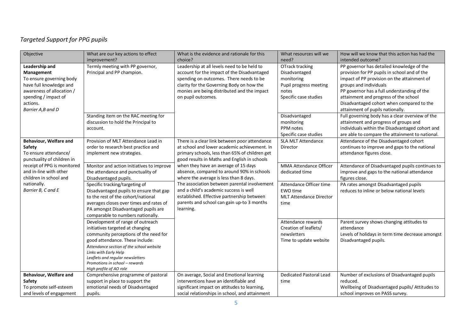## *Targeted Support for PPG pupils*

| Objective                   | What are our key actions to effect                                 | What is the evidence and rationale for this    | What resources will we         | How will we know that this action has had the    |
|-----------------------------|--------------------------------------------------------------------|------------------------------------------------|--------------------------------|--------------------------------------------------|
|                             | improvement?                                                       | choice?                                        | need?                          | intended outcome?                                |
| Leadership and              | Termly meeting with PP governor,                                   | Leadership at all levels need to be held to    | OTrack tracking                | PP governor has detailed knowledge of the        |
| Management                  | Principal and PP champion.                                         | account for the impact of the Disadvantaged    | Disadvantaged                  | provision for PP pupils in school and of the     |
| To ensure governing body    |                                                                    | spending on outcomes. There needs to be        | monitoring                     | impact of PP provision on the attainment of      |
| have full knowledge and     |                                                                    | clarity for the Governing Body on how the      | Pupil progress meeting         | groups and individuals                           |
| awareness of allocation /   |                                                                    | monies are being distributed and the impact    | notes                          | PP governor has a full understanding of the      |
| spending / impact of        |                                                                    | on pupil outcomes.                             | Specific case studies          | attainment and progress of the school            |
| actions.                    |                                                                    |                                                |                                | Disadvantaged cohort when compared to the        |
| Barrier A,B and D           |                                                                    |                                                |                                | attainment of pupils nationally.                 |
|                             | Standing item on the RAC meeting for                               |                                                | Disadvantaged                  | Full governing body has a clear overview of the  |
|                             | discussion to hold the Principal to                                |                                                | monitoring                     | attainment and progress of groups and            |
|                             | account.                                                           |                                                | PPM notes                      | individuals within the Disadvantaged cohort and  |
|                             |                                                                    |                                                | Specific case studies          | are able to compare the attainment to national.  |
| Behaviour, Welfare and      | Provision of MLT Attendance Lead in                                | There is a clear link between poor attendance  | <b>SLA MLT Attendance</b>      | Attendance of the Disadvantaged cohort           |
| Safety                      | order to research best practice and                                | at school and lower academic achievement. In   | Director                       | continues to improve and gaps to the national    |
| To ensure attendance/       | implement new strategies.                                          | primary schools, less than 65% of children get |                                | attendance figures close.                        |
| punctuality of children in  |                                                                    | good results in Maths and English in schools   |                                |                                                  |
| receipt of PPG is monitored | Monitor and action initiatives to improve                          | when they have an average of 15 days           | MMA Attendance Officer         | Attendance of Disadvantaged pupils continues to  |
| and in-line with other      | the attendance and punctuality of                                  | absence, compared to around 90% in schools     | dedicated time                 | improve and gaps to the national attendance      |
| children in school and      | Disadvantaged pupils.                                              | where the average is less than 8 days.         |                                | figures close.                                   |
| nationally.                 | Specific tracking/targeting of                                     | The association between parental involvement   | Attendance Officer time        | PA rates amongst Disadvantaged pupils            |
| Barrier B, C and E          | Disadvantaged pupils to ensure that gap                            | and a child's academic success is well         | EWO time                       | reduces to inline or below national levels       |
|                             | to the rest of the cohort/national                                 | established. Effective partnership between     | <b>MLT Attendance Director</b> |                                                  |
|                             | averages closes over times and rates of                            | parents and school can gain up-to 3 months     | time                           |                                                  |
|                             | PA amongst Disadvantaged pupils are                                | learning.                                      |                                |                                                  |
|                             | comparable to numbers nationally.                                  |                                                |                                |                                                  |
|                             | Development of range of outreach                                   |                                                | Attendance rewards             | Parent survey shows changing attitudes to        |
|                             | initiatives targeted at changing                                   |                                                | Creation of leaflets/          | attendance                                       |
|                             | community perceptions of the need for                              |                                                | newsletters                    | Levels of holidays in term time decrease amongst |
|                             | good attendance. These include:                                    |                                                | Time to update website         | Disadvantaged pupils.                            |
|                             | Attendance section of the school website                           |                                                |                                |                                                  |
|                             | Links with Early Help                                              |                                                |                                |                                                  |
|                             | Leaflets and regular newsletters<br>Promotions in school - rewards |                                                |                                |                                                  |
|                             | High profile of AO role                                            |                                                |                                |                                                  |
| Behaviour, Welfare and      | Comprehensive programme of pastoral                                | On average, Social and Emotional learning      | <b>Dedicated Pastoral Lead</b> | Number of exclusions of Disadvantaged pupils     |
| Safety                      | support in place to support the                                    | interventions have an identifiable and         | time                           | reduced.                                         |
| To promote self-esteem      | emotional needs of Disadvantaged                                   | significant impact on attitudes to learning,   |                                | Wellbeing of Disadvantaged pupils/ Attitudes to  |
| and levels of engagement    | pupils.                                                            | social relationships in school, and attainment |                                | school improves on PASS survey.                  |
|                             |                                                                    |                                                |                                |                                                  |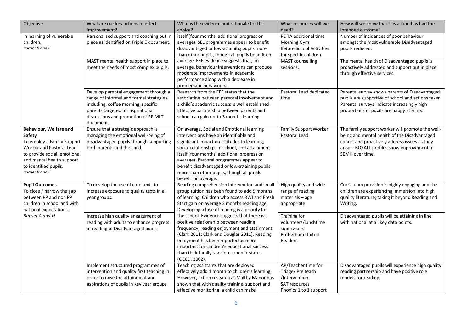| Objective                                                                                                                                                                                           | What are our key actions to effect<br>improvement?                                                                                                                                                               | What is the evidence and rationale for this<br>choice?                                                                                                                                                                                                                                                                                                                                                                                                                                                                                                                                         | What resources will we<br>need?                                                                      | How will we know that this action has had the<br>intended outcome?                                                                                                                                                  |
|-----------------------------------------------------------------------------------------------------------------------------------------------------------------------------------------------------|------------------------------------------------------------------------------------------------------------------------------------------------------------------------------------------------------------------|------------------------------------------------------------------------------------------------------------------------------------------------------------------------------------------------------------------------------------------------------------------------------------------------------------------------------------------------------------------------------------------------------------------------------------------------------------------------------------------------------------------------------------------------------------------------------------------------|------------------------------------------------------------------------------------------------------|---------------------------------------------------------------------------------------------------------------------------------------------------------------------------------------------------------------------|
| in learning of vulnerable<br>children.<br>Barrier B and E                                                                                                                                           | Personalised support and coaching put in<br>place as identified on Triple E document.                                                                                                                            | itself (four months' additional progress on<br>average). SEL programmes appear to benefit<br>disadvantaged or low-attaining pupils more<br>than other pupils, though all pupils benefit on<br>average. EEF evidence suggests that, on<br>average, behaviour interventions can produce<br>moderate improvements in academic<br>performance along with a decrease in<br>problematic behaviours.                                                                                                                                                                                                  | PE TA additional time<br>Morning Gym<br><b>Before School Activities</b><br>for specific children     | Number of incidences of poor behaviour<br>amongst the most vulnerable Disadvantaged<br>pupils reduced.                                                                                                              |
|                                                                                                                                                                                                     | MAST mental health support in place to<br>meet the needs of most complex pupils.                                                                                                                                 |                                                                                                                                                                                                                                                                                                                                                                                                                                                                                                                                                                                                | MAST counselling<br>sessions.                                                                        | The mental health of Disadvantaged pupils is<br>proactively addressed and support put in place<br>through effective services.                                                                                       |
|                                                                                                                                                                                                     | Develop parental engagement through a<br>range of informal and formal strategies<br>including; coffee morning, specific<br>parents targeted for aspirational<br>discussions and promotion of PP MLT<br>document. | Research from the EEF states that the<br>association between parental involvement and<br>a child's academic success is well established.<br>Effective partnership between parents and<br>school can gain up-to 3 months learning.                                                                                                                                                                                                                                                                                                                                                              | Pastoral Lead dedicated<br>time                                                                      | Parental survey shows parents of Disadvantaged<br>pupils are supportive of school and actions taken<br>Parental surveys indicate increasingly high<br>proportions of pupils are happy at school                     |
| Behaviour, Welfare and<br>Safety<br>To employ a Family Support<br>Worker and Pastoral Lead<br>to provide social, emotional<br>and mental health support<br>to identified pupils.<br>Barrier B and E | Ensure that a strategic approach is<br>managing the emotional well-being of<br>disadvantaged pupils through supporting<br>both parents and the child.                                                            | On average, Social and Emotional learning<br>interventions have an identifiable and<br>significant impact on attitudes to learning,<br>social relationships in school, and attainment<br>itself (four months' additional progress on<br>average). Pastoral programmes appear to<br>benefit disadvantaged or low-attaining pupils<br>more than other pupils, though all pupils<br>benefit on average.                                                                                                                                                                                           | <b>Family Support Worker</b><br>Pastoral Lead                                                        | The family support worker will promote the well-<br>being and mental health of the Disadvantaged<br>cohort and proactively address issues as they<br>arise - BOXALL profiles show improvement in<br>SEMH over time. |
| <b>Pupil Outcomes</b><br>To close / narrow the gap<br>between PP and non PP<br>children in school and with<br>national expectations.<br>Barrier A and D                                             | To develop the use of core texts to<br>increase exposure to quality texts in all<br>year groups.                                                                                                                 | Reading comprehension intervention and small<br>group tuition has been found to add 5 months<br>of learning. Children who access RWI and Fresh<br>Start gain on average 3 months reading age.<br>Developing a love of reading is a priority for<br>the school. Evidence suggests that there is a<br>positive relationship between reading<br>frequency, reading enjoyment and attainment<br>(Clark 2011; Clark and Douglas 2011). Reading<br>enjoyment has been reported as more<br>important for children's educational success<br>than their family's socio-economic status<br>(OECD, 2002). | High quality and wide<br>range of reading<br>$materials - age$<br>appropriate                        | Curriculum provision is highly engaging and the<br>children are experiencing immersion into high<br>quality literature; taking it beyond Reading and<br>Writing.                                                    |
|                                                                                                                                                                                                     | Increase high quality engagement of<br>reading with adults to enhance progress<br>in reading of Disadvantaged pupils                                                                                             |                                                                                                                                                                                                                                                                                                                                                                                                                                                                                                                                                                                                | Training for<br>volunteers/lunchtime<br>supervisors<br>Rotherham United<br>Readers                   | Disadvantaged pupils will be attaining in line<br>with national at all key data points.                                                                                                                             |
|                                                                                                                                                                                                     | Implement structured programmes of<br>intervention and quality first teaching in<br>order to raise the attainment and<br>aspirations of pupils in key year groups.                                               | Teaching assistants that are deployed<br>effectively add 1 month to children's learning.<br>However, action research at Maltby Manor has<br>shown that with quality training, support and<br>effective monitoring, a child can make                                                                                                                                                                                                                                                                                                                                                            | AP/Teacher time for<br>Triage/ Pre teach<br>/Intervention<br>SAT resources<br>Phonics 1 to 1 support | Disadvantaged pupils will experience high quality<br>reading partnership and have positive role<br>models for reading.                                                                                              |